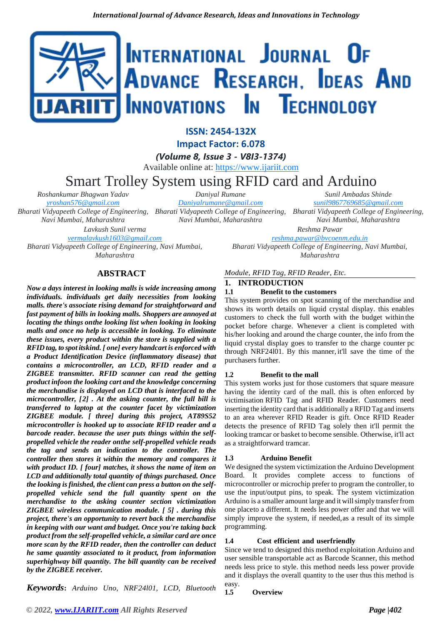# INTERNATIONAL JOURNAL OF ADVANCE RESEARCH, IDEAS AND Innovations In Technology

**ISSN: 2454-132X**

**Impact Factor: 6.078**

*(Volume 8, Issue 3 - V8I3-1374)*

Available online at: [https://www.ijariit.com](https://www.ijariit.com/?utm_source=pdf&utm_medium=edition&utm_campaign=OmAkSols&utm_term=V8I3-1374)

# Smart Trolley System using RFID card and Arduino

*Roshankumar Bhagwan Yadav [yroshan576@gmail.com](mailto:yroshan576@gmail.com) Bharati Vidyapeeth College of Engineering, Bharati Vidyapeeth College of Engineering, Bharati Vidyapeeth College of Engineering, Navi Mumbai, Maharashtra*

*Daniyal Rumane [Daniyalrumane@gmail.com](mailto:Daniyalrumane@gmail.com)*

*Navi Mumbai, Maharashtra*

*Sunil Ambadas Shinde [sunil9867769685@gmail.com](mailto:sunil9867769685@gmail.com)*

*Navi Mumbai, Maharashtra Reshma Pawar*

*Lavkush Sunil verma*

*[vermalavkush1603@gmail.com](mailto:vermalavkush1603@gmail.com)*

*Bharati Vidyapeeth College of Engineering, Navi Mumbai, Maharashtra*

**ABSTRACT**

*Now a days interest in looking malls is wide increasing among individuals. individuals get daily necessities from looking malls. there's associate rising demand for straightforward and fast payment of bills in looking malls. Shoppers are annoyed at locating the things onthe looking list when looking in looking malls and once no help is accessible in looking. To eliminate these issues, every product within the store is supplied with a RFID tag, to spot itskind. [ one] every handcart is enforced with a Product Identification Device (inflammatory disease) that contains a microcontroller, an LCD, RFID reader and a ZIGBEE transmitter. RFID scanner can read the getting product infoon the looking cart and the knowledge concerning the merchandise is displayed on LCD that is interfaced to the microcontroller, [2] . At the asking counter, the full bill is transferred to laptop at the counter facet by victimization ZIGBEE module. [ three] during this project, AT89S52 microcontroller is hooked up to associate RFID reader and a barcode reader. because the user puts things within the selfpropelled vehicle the reader onthe self-propelled vehicle reads the tag and sends an indication to the controller. The controller then stores it within the memory and compares it with product ID. [ four] matches, it shows the name of item on LCD and additionally total quantity of things purchased. Once the looking is finished, the client can press a button on the selfpropelled vehicle send the full quantity spent on the merchandise to the asking counter section victimization ZIGBEE wireless communication module. [ 5] . during this project, there's an opportunity to revert back the merchandise in keeping with our want and budget. Once you're taking back product from the self-propelled vehicle, a similar card are once more scan by the RFID reader, then the controller can deduct he same quantity associated to it product, from information superhighway bill quantity. The bill quantity can be received by the ZIGBEE receiver.*

*Keywords***:** *Arduino Uno, NRF24l01, LCD, Bluetooth* 

*Module, RFID Tag, RFID Reader, Etc.*

# **1. INTRODUCTION**

# **1.1 Benefit to the customers**

This system provides on spot scanning of the merchandise and shows its worth details on liquid crystal display. this enables customers to check the full worth with the budget within the pocket before charge. Whenever a client is completed with his/her looking and around the charge counter, the info from the liquid crystal display goes to transfer to the charge counter pc through NRF24l01. By this manner, it'll save the time of the purchasers further.

*[reshma.pawar@bvcoenm.edu.in](mailto:reshma.pawar@bvcoenm.edu.in) Bharati Vidyapeeth College of Engineering, Navi Mumbai, Maharashtra*

# **1.2 Benefit to the mall**

This system works just for those customers that square measure having the identity card of the mall. this is often enforced by victimisation RFID Tag and RFID Reader. Customers need inserting the identity card that is additionally a RFID Tag and inserts to an area wherever RFID Reader is gift. Once RFID Reader detects the presence of RFID Tag solely then it'll permit the looking tramcar or basket to become sensible. Otherwise, it'll act as a straightforward tramcar.

# **1.3 Arduino Benefit**

We designed the system victimization the Arduino Development Board. It provides complete access to functions of microcontroller or microchip prefer to program the controller, to use the input/output pins, to speak. The system victimization Arduino is a smaller amount large and it willsimply transferfrom one placeto a different. It needs less power offer and that we will simply improve the system, if needed,as a result of its simple programming.

# **1.4 Cost efficient and userfriendly**

Since we tend to designed this method exploitation Arduino and user sensible transportable act as Barcode Scanner, this method needs less price to style. this method needs less power provide and it displays the overall quantity to the user thus this method is easy.

**1.5 Overview**